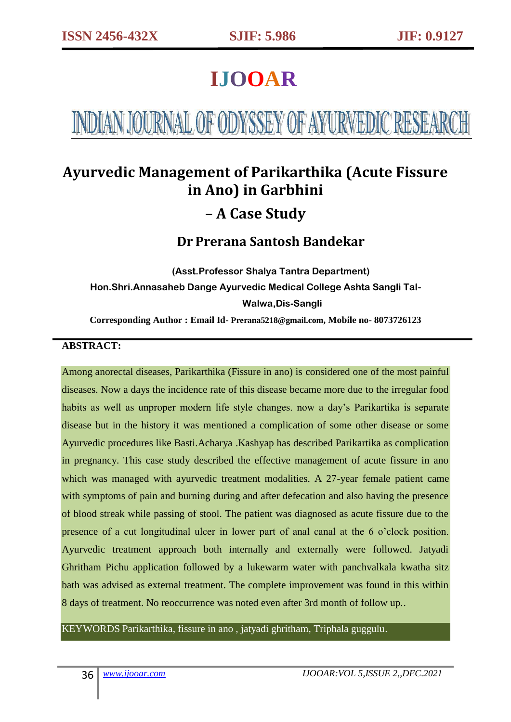# **IJOOAR**

# INDIAN JOURNAL OF ODYSSEY OF AYURVEDIC RESEARCH

# **Ayurvedic Management of Parikarthika (Acute Fissure in Ano) in Garbhini – A Case Study**

# **Dr Prerana Santosh Bandekar**

**(Asst.Professor Shalya Tantra Department) Hon.Shri.Annasaheb Dange Ayurvedic Medical College Ashta Sangli Tal-Walwa,Dis-Sangli**

**Corresponding Author : Email Id- Prerana5218@gmail.com, Mobile no- 8073726123**

#### **ABSTRACT:**

Among anorectal diseases, Parikarthika (Fissure in ano) is considered one of the most painful diseases. Now a days the incidence rate of this disease became more due to the irregular food habits as well as unproper modern life style changes. now a day's Parikartika is separate disease but in the history it was mentioned a complication of some other disease or some Ayurvedic procedures like Basti.Acharya .Kashyap has described Parikartika as complication in pregnancy. This case study described the effective management of acute fissure in ano which was managed with ayurvedic treatment modalities. A 27-year female patient came with symptoms of pain and burning during and after defecation and also having the presence of blood streak while passing of stool. The patient was diagnosed as acute fissure due to the presence of a cut longitudinal ulcer in lower part of anal canal at the 6 o'clock position. Ayurvedic treatment approach both internally and externally were followed. Jatyadi Ghritham Pichu application followed by a lukewarm water with panchvalkala kwatha sitz bath was advised as external treatment. The complete improvement was found in this within 8 days of treatment. No reoccurrence was noted even after 3rd month of follow up..

KEYWORDS Parikarthika, fissure in ano , jatyadi ghritham, Triphala guggulu.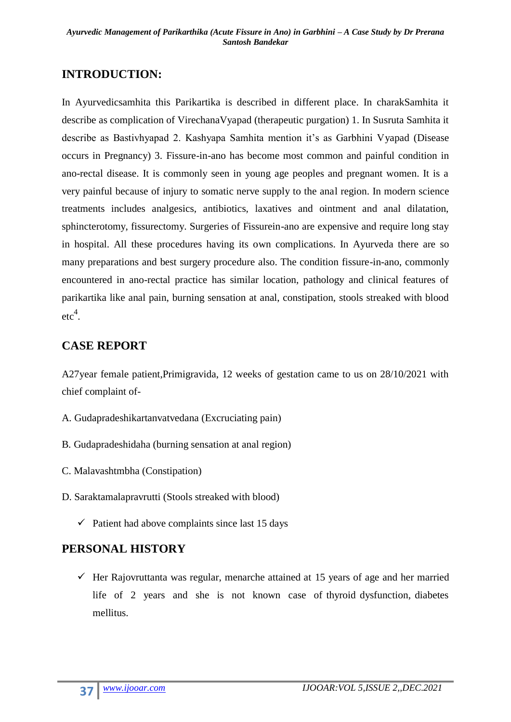#### **INTRODUCTION:**

In Ayurvedicsamhita this Parikartika is described in different place. In charakSamhita it describe as complication of VirechanaVyapad (therapeutic purgation) 1. In Susruta Samhita it describe as Bastivhyapad 2. Kashyapa Samhita mention it's as Garbhini Vyapad (Disease occurs in Pregnancy) 3. Fissure-in-ano has become most common and painful condition in ano-rectal disease. It is commonly seen in young age peoples and pregnant women. It is a very painful because of injury to somatic nerve supply to the anal region. In modern science treatments includes analgesics, antibiotics, laxatives and ointment and anal dilatation, sphincterotomy, fissurectomy. Surgeries of Fissurein-ano are expensive and require long stay in hospital. All these procedures having its own complications. In Ayurveda there are so many preparations and best surgery procedure also. The condition fissure-in-ano, commonly encountered in ano-rectal practice has similar location, pathology and clinical features of parikartika like anal pain, burning sensation at anal, constipation, stools streaked with blood  $etc<sup>4</sup>$ .

#### **CASE REPORT**

A27year female patient,Primigravida, 12 weeks of gestation came to us on 28/10/2021 with chief complaint of-

- A. Gudapradeshikartanvatvedana (Excruciating pain)
- B. Gudapradeshidaha (burning sensation at anal region)
- C. Malavashtmbha (Constipation)
- D. Saraktamalapravrutti (Stools streaked with blood)
	- $\checkmark$  Patient had above complaints since last 15 days

#### **PERSONAL HISTORY**

 $\checkmark$  Her Rajovruttanta was regular, menarche attained at 15 years of age and her married life of 2 years and she is not known case of thyroid dysfunction, diabetes mellitus.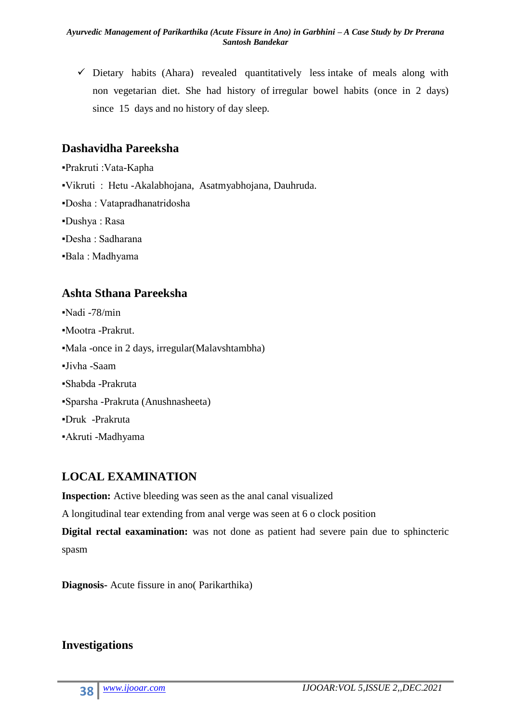$\checkmark$  Dietary habits (Ahara) revealed quantitatively less intake of meals along with non vegetarian diet. She had history of irregular bowel habits (once in 2 days) since 15 days and no history of day sleep.

#### **Dashavidha Pareeksha**

▪Prakruti :Vata-Kapha ▪Vikruti : Hetu -Akalabhojana, Asatmyabhojana, Dauhruda. ▪Dosha : Vatapradhanatridosha ▪Dushya : Rasa ▪Desha : Sadharana ▪Bala : Madhyama

#### **Ashta Sthana Pareeksha**

▪Nadi -78/min ▪Mootra -Prakrut. ▪Mala -once in 2 days, irregular(Malavshtambha) ▪Jivha -Saam ▪Shabda -Prakruta ▪Sparsha -Prakruta (Anushnasheeta) ▪Druk -Prakruta ▪Akruti -Madhyama

# **LOCAL EXAMINATION**

**Inspection:** Active bleeding was seen as the anal canal visualized

A longitudinal tear extending from anal verge was seen at 6 o clock position

**Digital rectal eaxamination:** was not done as patient had severe pain due to sphincteric spasm

**Diagnosis-** Acute fissure in ano( Parikarthika)

#### **Investigations**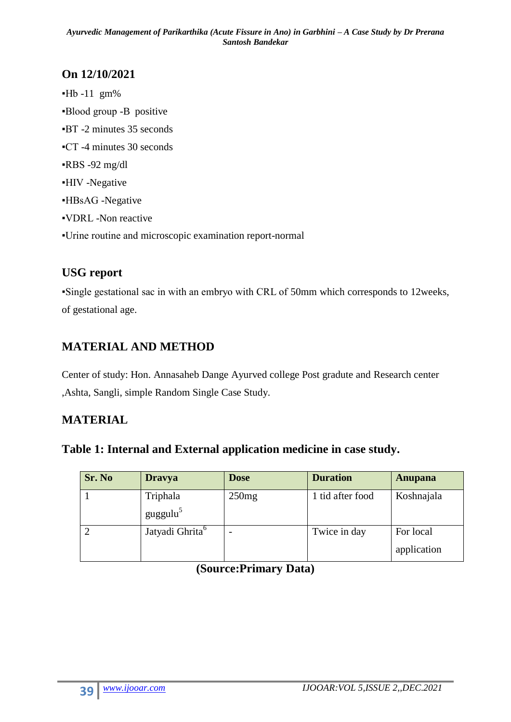# **On 12/10/2021**

 $-Hb -11$  gm% ▪Blood group -B positive ▪BT -2 minutes 35 seconds ▪CT -4 minutes 30 seconds  $-RBS -92$  mg/dl ▪HIV -Negative ▪HBsAG -Negative ▪VDRL -Non reactive ▪Urine routine and microscopic examination report-normal

# **USG report**

▪Single gestational sac in with an embryo with CRL of 50mm which corresponds to 12weeks, of gestational age.

# **MATERIAL AND METHOD**

Center of study: Hon. Annasaheb Dange Ayurved college Post gradute and Research center ,Ashta, Sangli, simple Random Single Case Study.

# **MATERIAL**

|  | Table 1: Internal and External application medicine in case study. |
|--|--------------------------------------------------------------------|
|--|--------------------------------------------------------------------|

| Sr. No | <b>Dravya</b>               | <b>Dose</b> | <b>Duration</b>  | Anupana                  |
|--------|-----------------------------|-------------|------------------|--------------------------|
|        | Triphala                    | 250mg       | 1 tid after food | Koshnajala               |
|        | guggulu <sup>5</sup>        |             |                  |                          |
|        | Jatyadi Ghrita <sup>6</sup> |             | Twice in day     | For local<br>application |

#### **(Source:Primary Data)**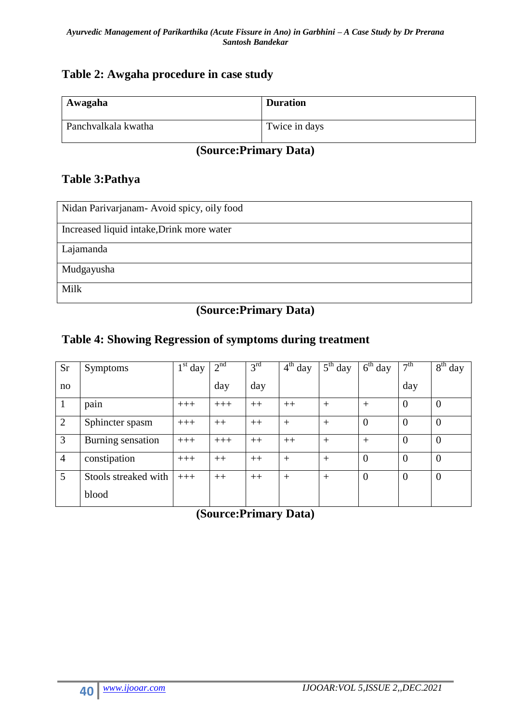#### **Table 2: Awgaha procedure in case study**

| Awagaha             | <b>Duration</b> |
|---------------------|-----------------|
| Panchvalkala kwatha | Twice in days   |

# **(Source:Primary Data)**

#### **Table 3:Pathya**

| Nidan Parivarjanam- Avoid spicy, oily food |
|--------------------------------------------|
| Increased liquid intake, Drink more water  |
| Lajamanda                                  |
| Mudgayusha                                 |
| Milk                                       |

# **(Source:Primary Data)**

#### **Table 4: Showing Regression of symptoms during treatment**

| Sr             | <b>Symptoms</b>      | $1st$ day | 2 <sup>nd</sup> | 3 <sup>rd</sup> | $4th$ day | $5th$ day | $6th$ day      | 7 <sup>th</sup> | $8th$ day      |
|----------------|----------------------|-----------|-----------------|-----------------|-----------|-----------|----------------|-----------------|----------------|
| no             |                      |           | day             | day             |           |           |                | day             |                |
| 1              | pain                 | $+++$     | $+++$           | $++$            | $++$      | $+$       | $+$            | $\theta$        | $\overline{0}$ |
| $\overline{2}$ | Sphincter spasm      | $+++$     | $++$            | $++$            | $+$       | $+$       | $\mathbf{0}$   | $\Omega$        | $\overline{0}$ |
| 3              | Burning sensation    | $+++$     | $+++$           | $++$            | $++$      | $+$       | $+$            | $\overline{0}$  | $\overline{0}$ |
| $\overline{4}$ | constipation         | $+++$     | $++$            | $++$            | $^{+}$    | $+$       | $\overline{0}$ | $\overline{0}$  | $\overline{0}$ |
| 5              | Stools streaked with | $+++$     | $++$            | $++$            | $+$       | $+$       | $\overline{0}$ | $\theta$        | $\overline{0}$ |
|                | blood                |           |                 |                 |           |           |                |                 |                |

# **(Source:Primary Data)**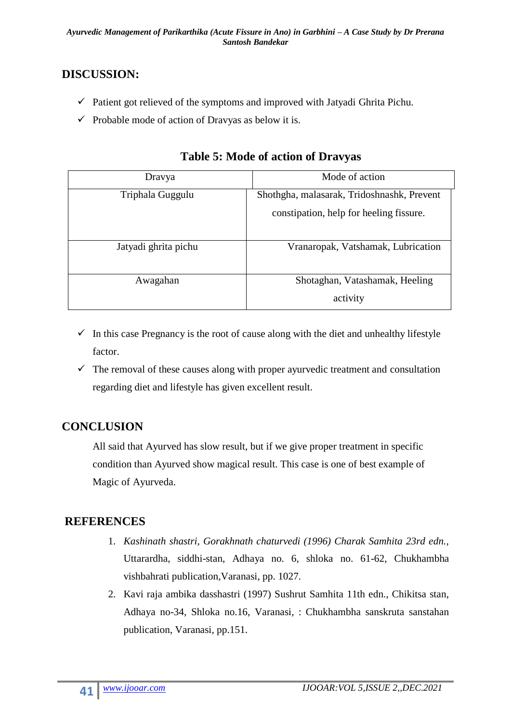# **DISCUSSION:**

- $\checkmark$  Patient got relieved of the symptoms and improved with Jatyadi Ghrita Pichu.
- $\checkmark$  Probable mode of action of Dravyas as below it is.

| Dravya               | Mode of action                             |
|----------------------|--------------------------------------------|
| Triphala Guggulu     | Shothgha, malasarak, Tridoshnashk, Prevent |
|                      | constipation, help for heeling fissure.    |
| Jatyadi ghrita pichu | Vranaropak, Vatshamak, Lubrication         |
| Awagahan             | Shotaghan, Vatashamak, Heeling             |
|                      | activity                                   |

#### **Table 5: Mode of action of Dravyas**

- $\checkmark$  In this case Pregnancy is the root of cause along with the diet and unhealthy lifestyle factor.
- $\checkmark$  The removal of these causes along with proper ayurvedic treatment and consultation regarding diet and lifestyle has given excellent result.

# **CONCLUSION**

All said that Ayurved has slow result, but if we give proper treatment in specific condition than Ayurved show magical result. This case is one of best example of Magic of Ayurveda.

# **REFERENCES**

- 1. *Kashinath shastri, Gorakhnath chaturvedi (1996) Charak Samhita 23rd edn.,* Uttarardha, siddhi-stan, Adhaya no. 6, shloka no. 61-62, Chukhambha vishbahrati publication,Varanasi, pp. 1027.
- 2. Kavi raja ambika dasshastri (1997) Sushrut Samhita 11th edn., Chikitsa stan, Adhaya no-34, Shloka no.16, Varanasi, : Chukhambha sanskruta sanstahan publication, Varanasi, pp.151.